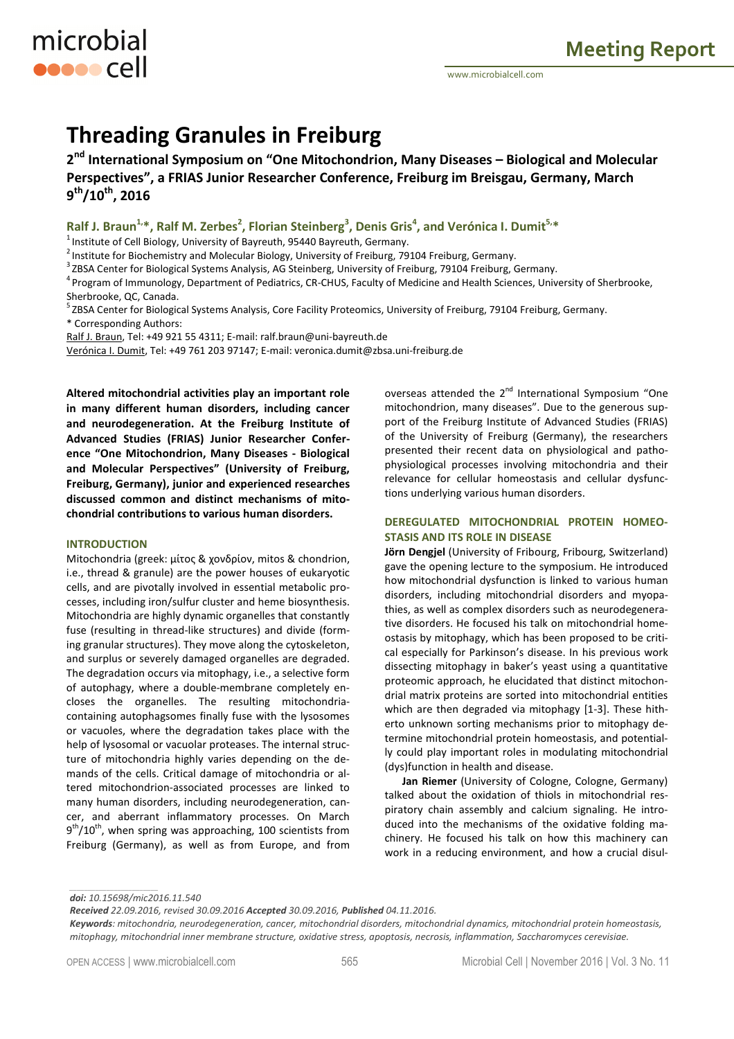# **Threading Granules in Freiburg**

**2 nd International Symposium on "One Mitochondrion, Many Diseases – Biological and Molecular Perspectives", a FRIAS Junior Researcher Conference, Freiburg im Breisgau, Germany, March 9 th/10th, 2016** 

## **Ralf J. Braun1,\*, Ralf M. Zerbes<sup>2</sup> , Florian Steinberg<sup>3</sup> , Denis Gris<sup>4</sup> , and Verónica I. Dumit5,\***

 $1$ Institute of Cell Biology, University of Bayreuth, 95440 Bayreuth, Germany.

2Institute for Biochemistry and Molecular Biology, University of Freiburg, 79104 Freiburg, Germany.

<sup>3</sup> ZBSA Center for Biological Systems Analysis, AG Steinberg, University of Freiburg, 79104 Freiburg, Germany.

<sup>4</sup> Program of Immunology, Department of Pediatrics, CR-CHUS, Faculty of Medicine and Health Sciences, University of Sherbrooke, Sherbrooke, QC, Canada.

<sup>5</sup> ZBSA Center for Biological Systems Analysis, Core Facility Proteomics, University of Freiburg, 79104 Freiburg, Germany. \* Corresponding Authors:

Ralf J. Braun, Tel: +49 921 55 4311; E-mail: ralf.braun@uni-bayreuth.de

Verónica I. Dumit, Tel: +49 761 203 97147; E-mail: veronica.dumit@zbsa.uni-freiburg.de

**Altered mitochondrial activities play an important role in many different human disorders, including cancer and neurodegeneration. At the Freiburg Institute of Advanced Studies (FRIAS) Junior Researcher Conference "One Mitochondrion, Many Diseases - Biological and Molecular Perspectives" (University of Freiburg, Freiburg, Germany), junior and experienced researches discussed common and distinct mechanisms of mitochondrial contributions to various human disorders.**

#### **INTRODUCTION**

microbial

**ODDOO** Cell

Mitochondria (greek: μίτος & χονδρίον, mitos & chondrion, i.e., thread & granule) are the power houses of eukaryotic cells, and are pivotally involved in essential metabolic processes, including iron/sulfur cluster and heme biosynthesis. Mitochondria are highly dynamic organelles that constantly fuse (resulting in thread-like structures) and divide (forming granular structures). They move along the cytoskeleton, and surplus or severely damaged organelles are degraded. The degradation occurs via mitophagy, i.e., a selective form of autophagy, where a double-membrane completely encloses the organelles. The resulting mitochondriacontaining autophagsomes finally fuse with the lysosomes or vacuoles, where the degradation takes place with the help of lysosomal or vacuolar proteases. The internal structure of mitochondria highly varies depending on the demands of the cells. Critical damage of mitochondria or altered mitochondrion-associated processes are linked to many human disorders, including neurodegeneration, cancer, and aberrant inflammatory processes. On March  $9<sup>th</sup>/10<sup>th</sup>$ , when spring was approaching, 100 scientists from Freiburg (Germany), as well as from Europe, and from overseas attended the 2<sup>nd</sup> International Symposium "One mitochondrion, many diseases". Due to the generous support of the Freiburg Institute of Advanced Studies (FRIAS) of the University of Freiburg (Germany), the researchers presented their recent data on physiological and pathophysiological processes involving mitochondria and their relevance for cellular homeostasis and cellular dysfunctions underlying various human disorders.

### **DEREGULATED MITOCHONDRIAL PROTEIN HOMEO-STASIS AND ITS ROLE IN DISEASE**

**Jörn Dengjel** (University of Fribourg, Fribourg, Switzerland) gave the opening lecture to the symposium. He introduced how mitochondrial dysfunction is linked to various human disorders, including mitochondrial disorders and myopathies, as well as complex disorders such as neurodegenerative disorders. He focused his talk on mitochondrial homeostasis by mitophagy, which has been proposed to be critical especially for Parkinson's disease. In his previous work dissecting mitophagy in baker's yeast using a quantitative proteomic approach, he elucidated that distinct mitochondrial matrix proteins are sorted into mitochondrial entities which are then degraded via mitophagy [1-3]. These hitherto unknown sorting mechanisms prior to mitophagy determine mitochondrial protein homeostasis, and potentially could play important roles in modulating mitochondrial (dys)function in health and disease.

**Jan Riemer** (University of Cologne, Cologne, Germany) talked about the oxidation of thiols in mitochondrial respiratory chain assembly and calcium signaling. He introduced into the mechanisms of the oxidative folding machinery. He focused his talk on how this machinery can work in a reducing environment, and how a crucial disul-

*doi: 10.15698/mic2016.11.540* 

*\_\_\_\_\_\_\_\_\_\_\_\_\_\_\_\_\_\_\_\_\_\_\_\_* 

*Received 22.09.2016, revised 30.09.2016 Accepted 30.09.2016, Published 04.11.2016.* 

*Keywords: mitochondria, neurodegeneration, cancer, mitochondrial disorders, mitochondrial dynamics, mitochondrial protein homeostasis, mitophagy, mitochondrial inner membrane structure, oxidative stress, apoptosis, necrosis, inflammation, Saccharomyces cerevisiae.*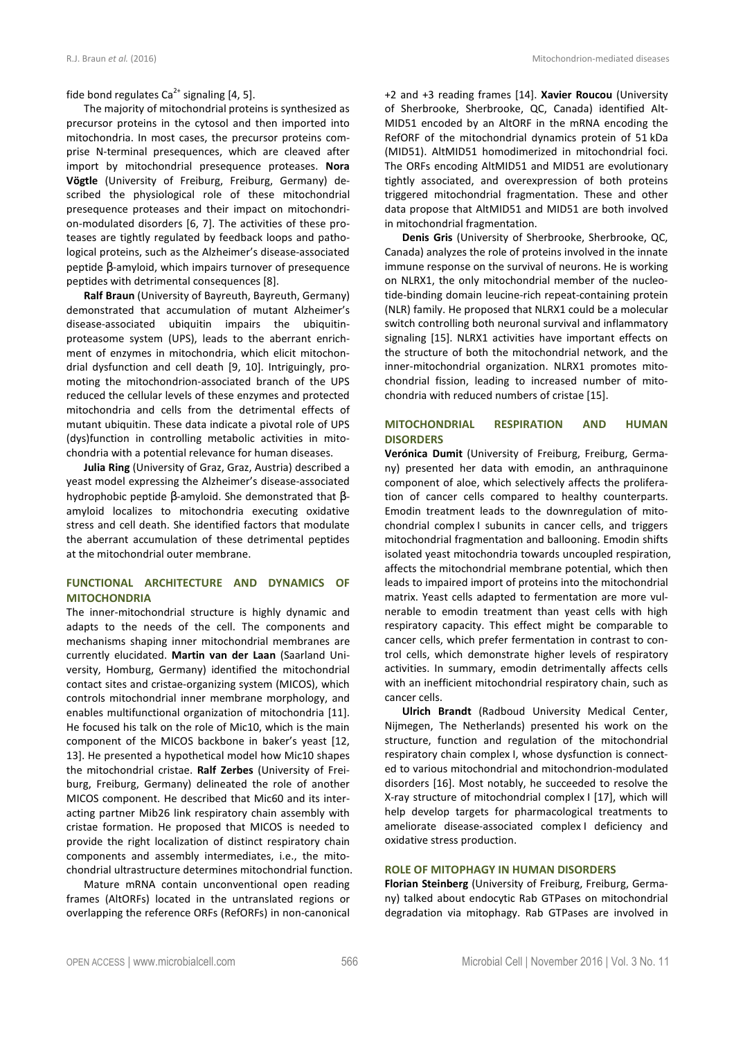fide bond regulates  $Ca^{2+}$  signaling [4, 5].

The majority of mitochondrial proteins is synthesized as precursor proteins in the cytosol and then imported into mitochondria. In most cases, the precursor proteins comprise N-terminal presequences, which are cleaved after import by mitochondrial presequence proteases. **Nora Vögtle** (University of Freiburg, Freiburg, Germany) described the physiological role of these mitochondrial presequence proteases and their impact on mitochondrion-modulated disorders [6, 7]. The activities of these proteases are tightly regulated by feedback loops and pathological proteins, such as the Alzheimer's disease-associated peptide β-amyloid, which impairs turnover of presequence peptides with detrimental consequences [8].

**Ralf Braun** (University of Bayreuth, Bayreuth, Germany) demonstrated that accumulation of mutant Alzheimer's disease-associated ubiquitin impairs the ubiquitinproteasome system (UPS), leads to the aberrant enrichment of enzymes in mitochondria, which elicit mitochondrial dysfunction and cell death [9, 10]. Intriguingly, promoting the mitochondrion-associated branch of the UPS reduced the cellular levels of these enzymes and protected mitochondria and cells from the detrimental effects of mutant ubiquitin. These data indicate a pivotal role of UPS (dys)function in controlling metabolic activities in mitochondria with a potential relevance for human diseases.

**Julia Ring** (University of Graz, Graz, Austria) described a yeast model expressing the Alzheimer's disease-associated hydrophobic peptide β-amyloid. She demonstrated that βamyloid localizes to mitochondria executing oxidative stress and cell death. She identified factors that modulate the aberrant accumulation of these detrimental peptides at the mitochondrial outer membrane.

## **FUNCTIONAL ARCHITECTURE AND DYNAMICS OF MITOCHONDRIA**

The inner-mitochondrial structure is highly dynamic and adapts to the needs of the cell. The components and mechanisms shaping inner mitochondrial membranes are currently elucidated. **Martin van der Laan** (Saarland University, Homburg, Germany) identified the mitochondrial contact sites and cristae-organizing system (MICOS), which controls mitochondrial inner membrane morphology, and enables multifunctional organization of mitochondria [11]. He focused his talk on the role of Mic10, which is the main component of the MICOS backbone in baker's yeast [12, 13]. He presented a hypothetical model how Mic10 shapes the mitochondrial cristae. **Ralf Zerbes** (University of Freiburg, Freiburg, Germany) delineated the role of another MICOS component. He described that Mic60 and its interacting partner Mib26 link respiratory chain assembly with cristae formation. He proposed that MICOS is needed to provide the right localization of distinct respiratory chain components and assembly intermediates, i.e., the mitochondrial ultrastructure determines mitochondrial function.

Mature mRNA contain unconventional open reading frames (AltORFs) located in the untranslated regions or overlapping the reference ORFs (RefORFs) in non-canonical +2 and +3 reading frames [14]. **Xavier Roucou** (University of Sherbrooke, Sherbrooke, QC, Canada) identified Alt-MID51 encoded by an AltORF in the mRNA encoding the RefORF of the mitochondrial dynamics protein of 51 kDa (MID51). AltMID51 homodimerized in mitochondrial foci. The ORFs encoding AltMID51 and MID51 are evolutionary tightly associated, and overexpression of both proteins triggered mitochondrial fragmentation. These and other data propose that AltMID51 and MID51 are both involved in mitochondrial fragmentation.

**Denis Gris** (University of Sherbrooke, Sherbrooke, QC, Canada) analyzes the role of proteins involved in the innate immune response on the survival of neurons. He is working on NLRX1, the only mitochondrial member of the nucleotide-binding domain leucine-rich repeat-containing protein (NLR) family. He proposed that NLRX1 could be a molecular switch controlling both neuronal survival and inflammatory signaling [15]. NLRX1 activities have important effects on the structure of both the mitochondrial network, and the inner-mitochondrial organization. NLRX1 promotes mitochondrial fission, leading to increased number of mitochondria with reduced numbers of cristae [15].

## **MITOCHONDRIAL RESPIRATION AND HUMAN DISORDERS**

**Verónica Dumit** (University of Freiburg, Freiburg, Germany) presented her data with emodin, an anthraquinone component of aloe, which selectively affects the proliferation of cancer cells compared to healthy counterparts. Emodin treatment leads to the downregulation of mitochondrial complex I subunits in cancer cells, and triggers mitochondrial fragmentation and ballooning. Emodin shifts isolated yeast mitochondria towards uncoupled respiration, affects the mitochondrial membrane potential, which then leads to impaired import of proteins into the mitochondrial matrix. Yeast cells adapted to fermentation are more vulnerable to emodin treatment than yeast cells with high respiratory capacity. This effect might be comparable to cancer cells, which prefer fermentation in contrast to control cells, which demonstrate higher levels of respiratory activities. In summary, emodin detrimentally affects cells with an inefficient mitochondrial respiratory chain, such as cancer cells.

**Ulrich Brandt** (Radboud University Medical Center, Nijmegen, The Netherlands) presented his work on the structure, function and regulation of the mitochondrial respiratory chain complex I, whose dysfunction is connected to various mitochondrial and mitochondrion-modulated disorders [16]. Most notably, he succeeded to resolve the X-ray structure of mitochondrial complex I [17], which will help develop targets for pharmacological treatments to ameliorate disease-associated complex I deficiency and oxidative stress production.

#### **ROLE OF MITOPHAGY IN HUMAN DISORDERS**

**Florian Steinberg** (University of Freiburg, Freiburg, Germany) talked about endocytic Rab GTPases on mitochondrial degradation via mitophagy. Rab GTPases are involved in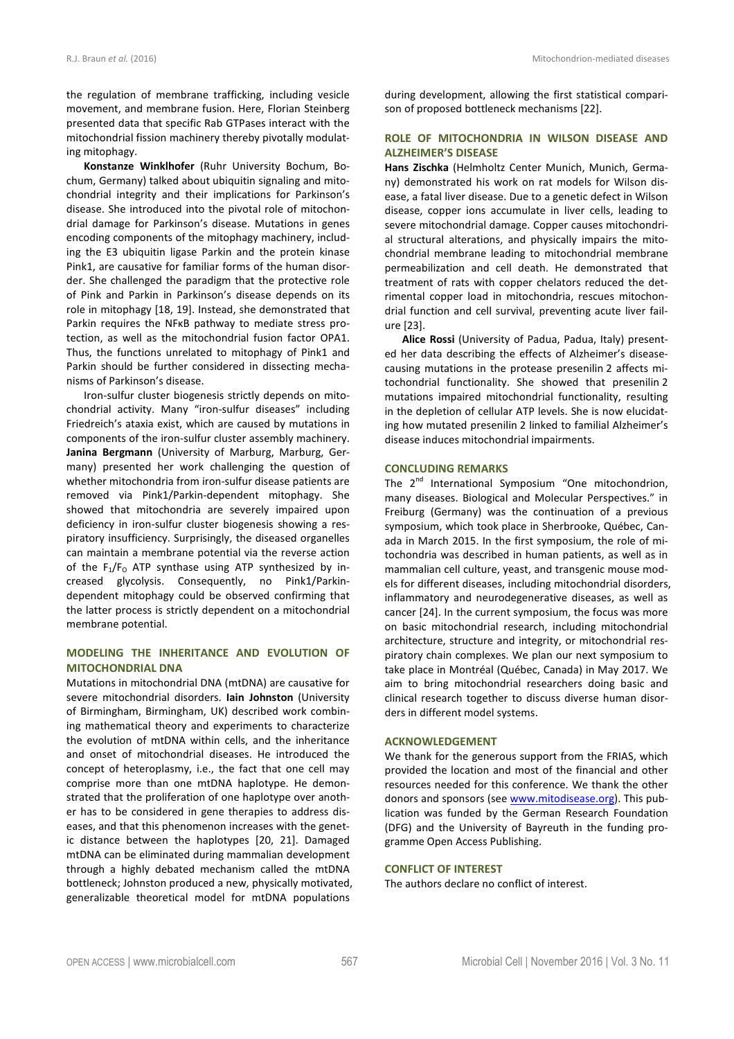the regulation of membrane trafficking, including vesicle movement, and membrane fusion. Here, Florian Steinberg presented data that specific Rab GTPases interact with the mitochondrial fission machinery thereby pivotally modulating mitophagy.

**Konstanze Winklhofer** (Ruhr University Bochum, Bochum, Germany) talked about ubiquitin signaling and mitochondrial integrity and their implications for Parkinson's disease. She introduced into the pivotal role of mitochondrial damage for Parkinson's disease. Mutations in genes encoding components of the mitophagy machinery, including the E3 ubiquitin ligase Parkin and the protein kinase Pink1, are causative for familiar forms of the human disorder. She challenged the paradigm that the protective role of Pink and Parkin in Parkinson's disease depends on its role in mitophagy [18, 19]. Instead, she demonstrated that Parkin requires the NFKB pathway to mediate stress protection, as well as the mitochondrial fusion factor OPA1. Thus, the functions unrelated to mitophagy of Pink1 and Parkin should be further considered in dissecting mechanisms of Parkinson's disease.

Iron-sulfur cluster biogenesis strictly depends on mitochondrial activity. Many "iron-sulfur diseases" including Friedreich's ataxia exist, which are caused by mutations in components of the iron-sulfur cluster assembly machinery. **Janina Bergmann** (University of Marburg, Marburg, Germany) presented her work challenging the question of whether mitochondria from iron-sulfur disease patients are removed via Pink1/Parkin-dependent mitophagy. She showed that mitochondria are severely impaired upon deficiency in iron-sulfur cluster biogenesis showing a respiratory insufficiency. Surprisingly, the diseased organelles can maintain a membrane potential via the reverse action of the  $F_1/F_0$  ATP synthase using ATP synthesized by increased glycolysis. Consequently, no Pink1/Parkindependent mitophagy could be observed confirming that the latter process is strictly dependent on a mitochondrial membrane potential.

## **MODELING THE INHERITANCE AND EVOLUTION OF MITOCHONDRIAL DNA**

Mutations in mitochondrial DNA (mtDNA) are causative for severe mitochondrial disorders. **Iain Johnston** (University of Birmingham, Birmingham, UK) described work combining mathematical theory and experiments to characterize the evolution of mtDNA within cells, and the inheritance and onset of mitochondrial diseases. He introduced the concept of heteroplasmy, i.e., the fact that one cell may comprise more than one mtDNA haplotype. He demonstrated that the proliferation of one haplotype over another has to be considered in gene therapies to address diseases, and that this phenomenon increases with the genetic distance between the haplotypes [20, 21]. Damaged mtDNA can be eliminated during mammalian development through a highly debated mechanism called the mtDNA bottleneck; Johnston produced a new, physically motivated, generalizable theoretical model for mtDNA populations

during development, allowing the first statistical comparison of proposed bottleneck mechanisms [22].

## **ROLE OF MITOCHONDRIA IN WILSON DISEASE AND ALZHEIMER'S DISEASE**

**Hans Zischka** (Helmholtz Center Munich, Munich, Germany) demonstrated his work on rat models for Wilson disease, a fatal liver disease. Due to a genetic defect in Wilson disease, copper ions accumulate in liver cells, leading to severe mitochondrial damage. Copper causes mitochondrial structural alterations, and physically impairs the mitochondrial membrane leading to mitochondrial membrane permeabilization and cell death. He demonstrated that treatment of rats with copper chelators reduced the detrimental copper load in mitochondria, rescues mitochondrial function and cell survival, preventing acute liver failure [23].

**Alice Rossi** (University of Padua, Padua, Italy) presented her data describing the effects of Alzheimer's diseasecausing mutations in the protease presenilin 2 affects mitochondrial functionality. She showed that presenilin 2 mutations impaired mitochondrial functionality, resulting in the depletion of cellular ATP levels. She is now elucidating how mutated presenilin 2 linked to familial Alzheimer's disease induces mitochondrial impairments.

## **CONCLUDING REMARKS**

The 2<sup>nd</sup> International Symposium "One mitochondrion, many diseases. Biological and Molecular Perspectives." in Freiburg (Germany) was the continuation of a previous symposium, which took place in Sherbrooke, Québec, Canada in March 2015. In the first symposium, the role of mitochondria was described in human patients, as well as in mammalian cell culture, yeast, and transgenic mouse models for different diseases, including mitochondrial disorders, inflammatory and neurodegenerative diseases, as well as cancer [24]. In the current symposium, the focus was more on basic mitochondrial research, including mitochondrial architecture, structure and integrity, or mitochondrial respiratory chain complexes. We plan our next symposium to take place in Montréal (Québec, Canada) in May 2017. We aim to bring mitochondrial researchers doing basic and clinical research together to discuss diverse human disorders in different model systems.

#### **ACKNOWLEDGEMENT**

We thank for the generous support from the FRIAS, which provided the location and most of the financial and other resources needed for this conference. We thank the other donors and sponsors (see www.mitodisease.org). This publication was funded by the German Research Foundation (DFG) and the University of Bayreuth in the funding programme Open Access Publishing.

## **CONFLICT OF INTEREST**

The authors declare no conflict of interest.